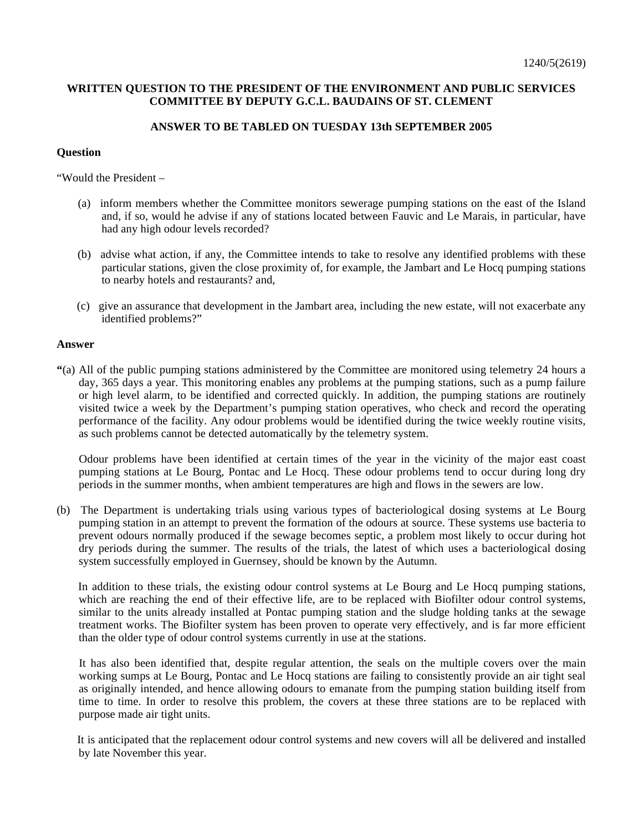## **WRITTEN QUESTION TO THE PRESIDENT OF THE ENVIRONMENT AND PUBLIC SERVICES COMMITTEE BY DEPUTY G.C.L. BAUDAINS OF ST. CLEMENT**

## **ANSWER TO BE TABLED ON TUESDAY 13th SEPTEMBER 2005**

## **Question**

"Would the President –

- (a) inform members whether the Committee monitors sewerage pumping stations on the east of the Island and, if so, would he advise if any of stations located between Fauvic and Le Marais, in particular, have had any high odour levels recorded?
- (b) advise what action, if any, the Committee intends to take to resolve any identified problems with these particular stations, given the close proximity of, for example, the Jambart and Le Hocq pumping stations to nearby hotels and restaurants? and,
- (c) give an assurance that development in the Jambart area, including the new estate, will not exacerbate any identified problems?"

## **Answer**

**"**(a) All of the public pumping stations administered by the Committee are monitored using telemetry 24 hours a day, 365 days a year. This monitoring enables any problems at the pumping stations, such as a pump failure or high level alarm, to be identified and corrected quickly. In addition, the pumping stations are routinely visited twice a week by the Department's pumping station operatives, who check and record the operating performance of the facility. Any odour problems would be identified during the twice weekly routine visits, as such problems cannot be detected automatically by the telemetry system.

 Odour problems have been identified at certain times of the year in the vicinity of the major east coast pumping stations at Le Bourg, Pontac and Le Hocq. These odour problems tend to occur during long dry periods in the summer months, when ambient temperatures are high and flows in the sewers are low.

(b) The Department is undertaking trials using various types of bacteriological dosing systems at Le Bourg pumping station in an attempt to prevent the formation of the odours at source. These systems use bacteria to prevent odours normally produced if the sewage becomes septic, a problem most likely to occur during hot dry periods during the summer. The results of the trials, the latest of which uses a bacteriological dosing system successfully employed in Guernsey, should be known by the Autumn.

 In addition to these trials, the existing odour control systems at Le Bourg and Le Hocq pumping stations, which are reaching the end of their effective life, are to be replaced with Biofilter odour control systems, similar to the units already installed at Pontac pumping station and the sludge holding tanks at the sewage treatment works. The Biofilter system has been proven to operate very effectively, and is far more efficient than the older type of odour control systems currently in use at the stations.

 It has also been identified that, despite regular attention, the seals on the multiple covers over the main working sumps at Le Bourg, Pontac and Le Hocq stations are failing to consistently provide an air tight seal as originally intended, and hence allowing odours to emanate from the pumping station building itself from time to time. In order to resolve this problem, the covers at these three stations are to be replaced with purpose made air tight units.

 It is anticipated that the replacement odour control systems and new covers will all be delivered and installed by late November this year.